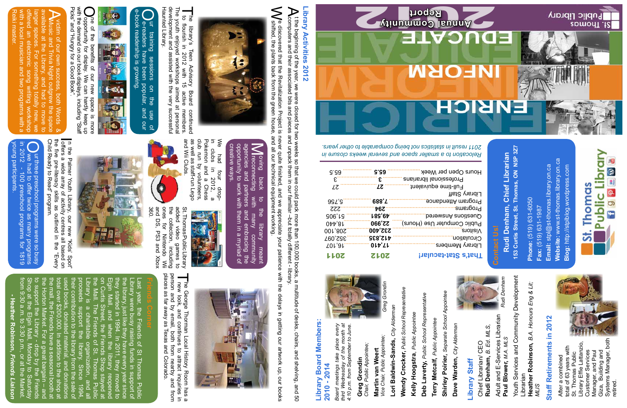| Professional librans | E                 | E                   |
|----------------------|-------------------|---------------------|
| Full-time equivalent | LΖ                | LΖ                  |
| Hsi2                 |                   |                     |
| aonsbnett m          | 688.T             | 99L <sup>2</sup>    |
| sш                   | 76Z               | <b>ZZZ</b>          |
| benewanA and         | L89'67            | 906, 15             |
| Computer Use (Hours) | 22,990            | $0$ <sub>44</sub> 0 |
| s                    | 232,400           | 001,80S             |
| ้นดแ                 | 412,835           | 352,097             |
| 7 Members            | 01p' <sub>4</sub> | <b>701,01</b>       |
| <b>Stat-tacular!</b> | <b>2012</b>       | <b>1702</b>         |
|                      |                   |                     |

153 Curtis Street, St. Thomas, ON N5P 3Z7 **153 Curtis Street, St. Thomas, ON N5P 3Z7** Rudi Denham, Chief Librarian **Rudi Denham, Chief Librarian**

65.5

**V** e discovered that the Revitalization Project is never quite finished, and we appreciate your patience with the delays in getting our artwork up, our books<br>Wehifted, the plants back from the green house, and all our tec e discovered that the Revitalization Project is<br>shifted, the plants back from the green house,<br>shifted, the plants back from the green house, discovered that the Revitalization Project is never quite finished, and we appreciate your patience with the delays in getting our artwork up, our books<br>hifted, the plants back from the green house, and all our technical e



development and assisted with the very successful<br>Haunted Library. development and assisted with the very successful **The** The youth enjoyed workshops aimed at personal Haunted Library. **The library's** he library's Teen Advisory Board continued<br>to flourish in 2012 with 15 active members. Youth enjoyed workshops library's  $\overline{5}$ Teen 2012 Advisory Board continued<br>2 with 15 active members. aimed at personal

> **Website:** www.st-thomas.library.on.ca Website: www.st-thomas.library.on.ca Email: stpl@st-thomas.library.on.ca Blog: http://stplblog.wordpress.com **Email:** stpl@st-thomas.library.on.ca **Blog:** http://stplblog.wordpress.com Phone: (519) 631-6050 **Phone:** (519) 631-6050 **Fax:** (519) 631-1987 Fax: (519) 631-1987

**Public Library** 晿 f g p a **Thomas** 

**ISI.** Thomas **NFOR** ENBICH

Public Library

**65.5**

*Relocation to a smaller space and several weeks closure in 2011 result in statistics not being comparable to other years.*

Adult and E-Services Librarian Adult and E-Services Librarian Paul Blower, M.A. MLS **Paul Blower,** *M.A. MLS*

Youth Services and Community Development Youth Services and Community Development **Heather Robinson,** *B.A. Honours Eng & Lit;*  Heather Robinson, B.A. Honours Eng & Lit; Librarian

## **Ibrary Staff Library Staff**

Rudi Denham, B. Ed. MLS, **Rudi Denham,** *B. Ed. MLS,* Chief Librarian/ CEO Chief Librarian/ CEO

# **Staff Retirements in 2012 Staff Retirements in 2012**

**Greg Grondin**<br>Chair, Public Appointee; *Chair, Public Appointee;* Martin van Weert **Martin van Weert**

*Vice Chair, Public Appointee;*  Vice Chair, Public Appointee;

Lori Baldwin-Sands, City Alderman *City Alderman* **Lori Baldwin-Sands,** 

Systems Manager, both Giza, Building and<br>Systems Manager, both Library Effie Lattanzio, Library Effie Lattanzio,<br>Customer Services total of 63 years with total of 63 years with<br>St. Thomas Public Customer Services Manager, and Paul<br>Giza, Building and Manager, and Paul Giza, Building and St. Thomas Public After a combined After a combined etired



**Wendy Crocker, Public School Representative Wendy Crocker,** *Public School Representative*



Terry Metcalf, Public Appointee **Terry Metcalf,** *Public Appointee*



Fiprary Me **Circulation** Visitors Public Co Questious Programs Program Library St  $n_{\bf \perp}$ Hours Open per Week **That's S** 

> Shirley Poirier, Separate School Appointee **Shirley Poirier,** *Separate School Appointee*

Deb Laverty, Public School Representative **Deb Laverty,** *Public School Representative* Kelly Hoogstra, Public Appointee 0**Kelly Hoogstra**, *Public Appointee* Dave Warden, City Alderman **Dave Warden,** *City Alderman*

*Greg Grondin* Greg

# **Library Activities 2012** Library Activities 2012

**(** the beginning of the year, we were closed for two weeks so that we could pack more than 100,000 books, a multitude of desks, chairs, and shelving, and 50<br>Computers and their associated bits and pieces and unpack them i computers and their associated bits and pieces and unpack them in our familiar –but totally different - library. t the beginning of the year, we were closed pack a serve were than experience for the than  $\chi$  on  $\chi$  on  $\chi$  on  $\chi$  and  $\chi$  and  $\chi$  and  $\chi$  and  $\chi$  and  $\chi$  and  $\chi$  and  $\chi$  and  $\chi$  and  $\chi$  and  $\chi$  and  $\chi$  and

 $\overline{L}$  $\overline{0}$ 

*MLIS*

**Library Board Members:** 

**Library Board Members:** 

**2010 - 2014**

2010 - 2014

**Greg Grondin**

*Board meetings take place every third Wednesday of the month at 4:10 p.m. from September to June.*

Board meetings take

third Wednesday of the month ai<br>4:10 p.m. from September to June.

every

place

We had four drop-<br>in clubs in 2012, a<br>Pokemon and a Chess<br>club run by volunteers. and Wii Clubs club run by volunteers,<br>as well as staff-run Lego and Wii Clubs.<br>and Wii Clubs. as well as staff-run Lego club run by volunteers, Pokemon and a Chess in clubs in 2012, a We had four drop-





ones for Nintendo Wii<br>and DS, PS3 and Xbox<br>360. 귾 and DS, PS3 and Xbox ones for Nintendo Wii the collection, including added video added video games to St. Thomas Public Library collection, PublicLibrary<br>o games to<br>on, including<br>lintendo Wii<br>is and Ybox

young participants. in 2012 - 100 preschool programs for 1819 Б Our three preschool programs were so busy<br>Owe had to offer twice as many programs oung participants 2012 urthree<br>we had  $\overrightarrow{00}$ e preschool<br>1 to offer tw offer twice as many program<br>preschool programs for 181 brograms were so bus) 1819

with a local musician and two programs with a offered an electronic song writing workshop available at the Library, and had to move to A Music and Trivia Night outgrew the space victim of our own success, both Words & Reiki master. larger spaces. For something totally new, we victim of our own succ le at the  $\overline{Q}$ ūa

> agencies creative ways. creative ways. oportunity to work with them in a opportunity to work with them in a myriad of agencies and partners and embracing the oving back to the library meant<br>Mreconnecting with many community  $\overline{\textbf{C}}$ **Treconnecting** oving back and partners With  $\overline{5}$ und mong communit<br>1 many communit<br>1 them in a myriad o the library / community<br>mbracing the meant  $\Omega$

e-book readership is growing.Our training sessions on the use of e-book readership is growing. e-readers ur training have been popular, sessions  $\overline{a}$ 당. and use gur  $\overline{a}$ 



**Opportunity for display.** We can hardly kee with the demand on our book displays, including "<br>with the demand on our book displays, including "<br>Picks" and "Hungry for a Good Book". Picks" and "Hungry for a Good Book". with the demand on our book displays, including "Staff One of the benefits of our new space is more of the benefits of our new space is more ne of the benefits of our new We can hardly keep up space is more faff

from 9:30 a.m. to 3:30 p.m., or at the Market. Shop at the Elgin Mall, Monday to Saturday to support the Library - drop by the Friends the Horton Market. For a great bargain – and the mall, the Friends have a seasonal booth at total over \$200,000. In addition to the shop at used books, donated material, and donations their contribution to the library from the sale of proceeds support the library. Since 1994, Library is a charitable organization, and all the Mall. The Friends of St. Thomas Public on Curtis Street, the Friends Shop stayed at Elgin Mall, and when the library reopened they started in 1994. In 2011, they moved to the library, just like they have every year since Library were busy raising funds in support of Last year, the Friends of St Thomas Public

p at the Elgin Mall, Mo<br>9:30 a.m. to 3:30 p.m

the Horton Market. For a great bargain<br>to support the Library - drop by the Fi<br>Shop at the Elgin Mall, Monday to Sat

Friend<br>Friend<br>Lien  $-$  and

to su<br>Shor<br>Shom

**- Heather Robinson,** eather Robinson, **Friends** *Friends Liaison*



Library were busy raising funds in support of<br>the library, just like they have every year since<br>they started in 1994. In 2011, they moved to<br>Elgin Mall, and when the library reopened<br>on Curtis Street, the Friends Shop sta

Child Ready to Read" program.

Child Ready to Read" program.

the five pre-literacy skills as outlined in the "Every

outlined in the

 $\overline{\text{A}}$ every

skills as

the five pre-literacy



I new look, and continues to a person and by email, both from places as far away as Texas and Colorado. person and by email, both from nearby and from The George Thorman Local History Room has a<br>I new look, and continues to attract inquiries in

Last year, the Friends of St Thomas Public

places as far away as Texas and Colorado

The George Thorman Local History Room has a<br>I new look, and continues to attract inquiries in<br>person and by email, both from nearby and from